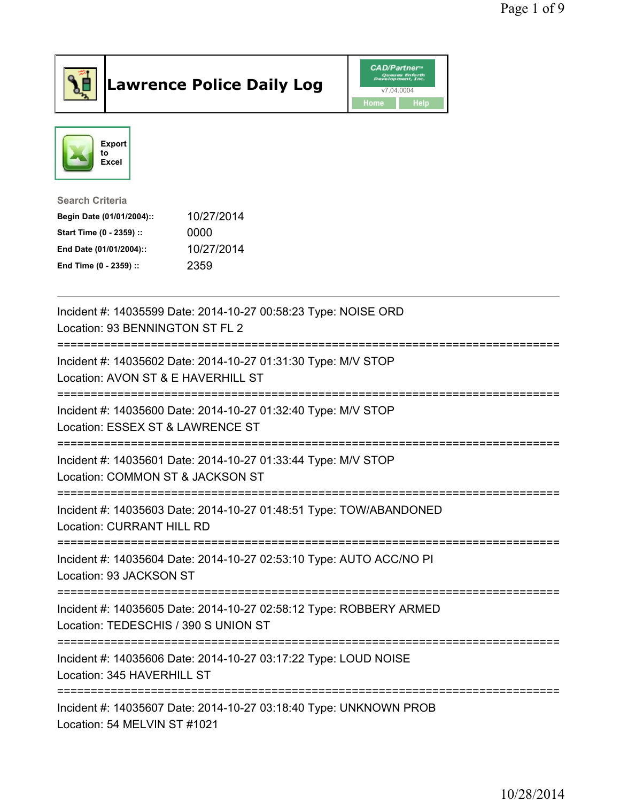

## Lawrence Police Daily Log **Daniel CAD/Partner**





Search Criteria Begin Date (01/01/2004):: 10/27/2014 Start Time (0 - 2359) :: 0000 End Date (01/01/2004):: 10/27/2014 End Time (0 - 2359) :: 2359

| Incident #: 14035599 Date: 2014-10-27 00:58:23 Type: NOISE ORD<br>Location: 93 BENNINGTON ST FL 2          |
|------------------------------------------------------------------------------------------------------------|
| Incident #: 14035602 Date: 2014-10-27 01:31:30 Type: M/V STOP<br>Location: AVON ST & E HAVERHILL ST        |
| Incident #: 14035600 Date: 2014-10-27 01:32:40 Type: M/V STOP<br>Location: ESSEX ST & LAWRENCE ST          |
| Incident #: 14035601 Date: 2014-10-27 01:33:44 Type: M/V STOP<br>Location: COMMON ST & JACKSON ST          |
| Incident #: 14035603 Date: 2014-10-27 01:48:51 Type: TOW/ABANDONED<br><b>Location: CURRANT HILL RD</b>     |
| Incident #: 14035604 Date: 2014-10-27 02:53:10 Type: AUTO ACC/NO PI<br>Location: 93 JACKSON ST             |
| Incident #: 14035605 Date: 2014-10-27 02:58:12 Type: ROBBERY ARMED<br>Location: TEDESCHIS / 390 S UNION ST |
| Incident #: 14035606 Date: 2014-10-27 03:17:22 Type: LOUD NOISE<br>Location: 345 HAVERHILL ST              |
| Incident #: 14035607 Date: 2014-10-27 03:18:40 Type: UNKNOWN PROB<br>Location: 54 MELVIN ST #1021          |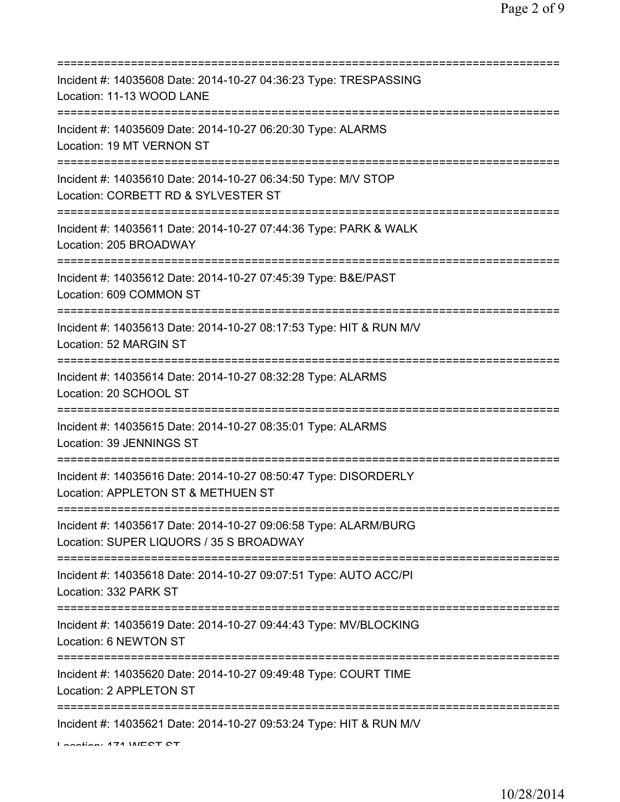| Incident #: 14035608 Date: 2014-10-27 04:36:23 Type: TRESPASSING<br>Location: 11-13 WOOD LANE                             |
|---------------------------------------------------------------------------------------------------------------------------|
| Incident #: 14035609 Date: 2014-10-27 06:20:30 Type: ALARMS<br>Location: 19 MT VERNON ST                                  |
| Incident #: 14035610 Date: 2014-10-27 06:34:50 Type: M/V STOP<br>Location: CORBETT RD & SYLVESTER ST                      |
| Incident #: 14035611 Date: 2014-10-27 07:44:36 Type: PARK & WALK<br>Location: 205 BROADWAY                                |
| Incident #: 14035612 Date: 2014-10-27 07:45:39 Type: B&E/PAST<br>Location: 609 COMMON ST                                  |
| Incident #: 14035613 Date: 2014-10-27 08:17:53 Type: HIT & RUN M/V<br>Location: 52 MARGIN ST                              |
| Incident #: 14035614 Date: 2014-10-27 08:32:28 Type: ALARMS<br>Location: 20 SCHOOL ST                                     |
| :=============================<br>Incident #: 14035615 Date: 2014-10-27 08:35:01 Type: ALARMS<br>Location: 39 JENNINGS ST |
| Incident #: 14035616 Date: 2014-10-27 08:50:47 Type: DISORDERLY<br>Location: APPLETON ST & METHUEN ST                     |
| Incident #: 14035617 Date: 2014-10-27 09:06:58 Type: ALARM/BURG<br>Location: SUPER LIQUORS / 35 S BROADWAY                |
| Incident #: 14035618 Date: 2014-10-27 09:07:51 Type: AUTO ACC/PI<br>Location: 332 PARK ST                                 |
| Incident #: 14035619 Date: 2014-10-27 09:44:43 Type: MV/BLOCKING<br>Location: 6 NEWTON ST                                 |
| =================<br>Incident #: 14035620 Date: 2014-10-27 09:49:48 Type: COURT TIME<br>Location: 2 APPLETON ST           |
| Incident #: 14035621 Date: 2014-10-27 09:53:24 Type: HIT & RUN M/V<br>Lootion: 474 INECT CT                               |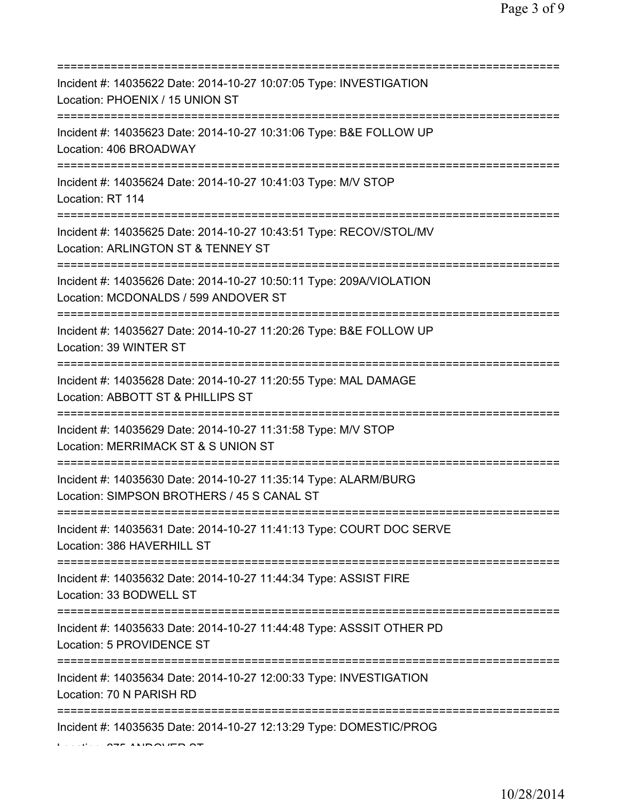| Incident #: 14035622 Date: 2014-10-27 10:07:05 Type: INVESTIGATION<br>Location: PHOENIX / 15 UNION ST                                      |
|--------------------------------------------------------------------------------------------------------------------------------------------|
| Incident #: 14035623 Date: 2014-10-27 10:31:06 Type: B&E FOLLOW UP<br>Location: 406 BROADWAY<br>======================================     |
| Incident #: 14035624 Date: 2014-10-27 10:41:03 Type: M/V STOP<br>Location: RT 114                                                          |
| Incident #: 14035625 Date: 2014-10-27 10:43:51 Type: RECOV/STOL/MV<br>Location: ARLINGTON ST & TENNEY ST                                   |
| Incident #: 14035626 Date: 2014-10-27 10:50:11 Type: 209A/VIOLATION<br>Location: MCDONALDS / 599 ANDOVER ST<br>=======================     |
| Incident #: 14035627 Date: 2014-10-27 11:20:26 Type: B&E FOLLOW UP<br>Location: 39 WINTER ST                                               |
| Incident #: 14035628 Date: 2014-10-27 11:20:55 Type: MAL DAMAGE<br>Location: ABBOTT ST & PHILLIPS ST                                       |
| Incident #: 14035629 Date: 2014-10-27 11:31:58 Type: M/V STOP<br>Location: MERRIMACK ST & S UNION ST                                       |
| Incident #: 14035630 Date: 2014-10-27 11:35:14 Type: ALARM/BURG<br>Location: SIMPSON BROTHERS / 45 S CANAL ST                              |
| Incident #: 14035631 Date: 2014-10-27 11:41:13 Type: COURT DOC SERVE<br>Location: 386 HAVERHILL ST                                         |
| Incident #: 14035632 Date: 2014-10-27 11:44:34 Type: ASSIST FIRE<br>Location: 33 BODWELL ST                                                |
| =====================================<br>Incident #: 14035633 Date: 2014-10-27 11:44:48 Type: ASSSIT OTHER PD<br>Location: 5 PROVIDENCE ST |
| Incident #: 14035634 Date: 2014-10-27 12:00:33 Type: INVESTIGATION<br>Location: 70 N PARISH RD                                             |
| Incident #: 14035635 Date: 2014-10-27 12:13:29 Type: DOMESTIC/PROG                                                                         |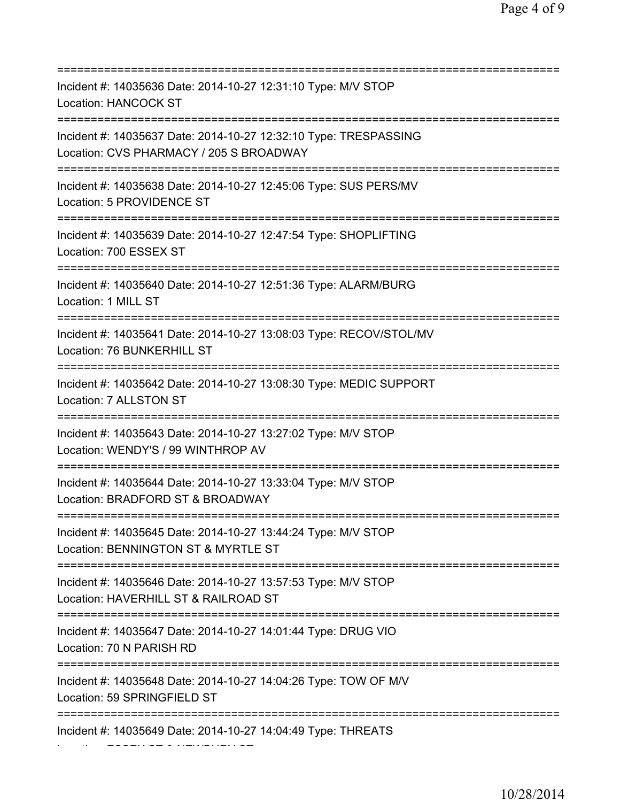| Incident #: 14035636 Date: 2014-10-27 12:31:10 Type: M/V STOP<br><b>Location: HANCOCK ST</b>                                             |
|------------------------------------------------------------------------------------------------------------------------------------------|
| Incident #: 14035637 Date: 2014-10-27 12:32:10 Type: TRESPASSING<br>Location: CVS PHARMACY / 205 S BROADWAY                              |
| Incident #: 14035638 Date: 2014-10-27 12:45:06 Type: SUS PERS/MV<br>Location: 5 PROVIDENCE ST<br>=======================                 |
| Incident #: 14035639 Date: 2014-10-27 12:47:54 Type: SHOPLIFTING<br>Location: 700 ESSEX ST                                               |
| Incident #: 14035640 Date: 2014-10-27 12:51:36 Type: ALARM/BURG<br>Location: 1 MILL ST                                                   |
| Incident #: 14035641 Date: 2014-10-27 13:08:03 Type: RECOV/STOL/MV<br>Location: 76 BUNKERHILL ST<br>==================================== |
| Incident #: 14035642 Date: 2014-10-27 13:08:30 Type: MEDIC SUPPORT<br>Location: 7 ALLSTON ST<br>:=============================           |
| Incident #: 14035643 Date: 2014-10-27 13:27:02 Type: M/V STOP<br>Location: WENDY'S / 99 WINTHROP AV                                      |
| Incident #: 14035644 Date: 2014-10-27 13:33:04 Type: M/V STOP<br>Location: BRADFORD ST & BROADWAY                                        |
| Incident #: 14035645 Date: 2014-10-27 13:44:24 Type: M/V STOP<br>Location: BENNINGTON ST & MYRTLE ST                                     |
| Incident #: 14035646 Date: 2014-10-27 13:57:53 Type: M/V STOP<br>Location: HAVERHILL ST & RAILROAD ST                                    |
| Incident #: 14035647 Date: 2014-10-27 14:01:44 Type: DRUG VIO<br>Location: 70 N PARISH RD                                                |
| Incident #: 14035648 Date: 2014-10-27 14:04:26 Type: TOW OF M/V<br>Location: 59 SPRINGFIELD ST                                           |
| Incident #: 14035649 Date: 2014-10-27 14:04:49 Type: THREATS                                                                             |

Location: ESSEX ST & NEWBURY ST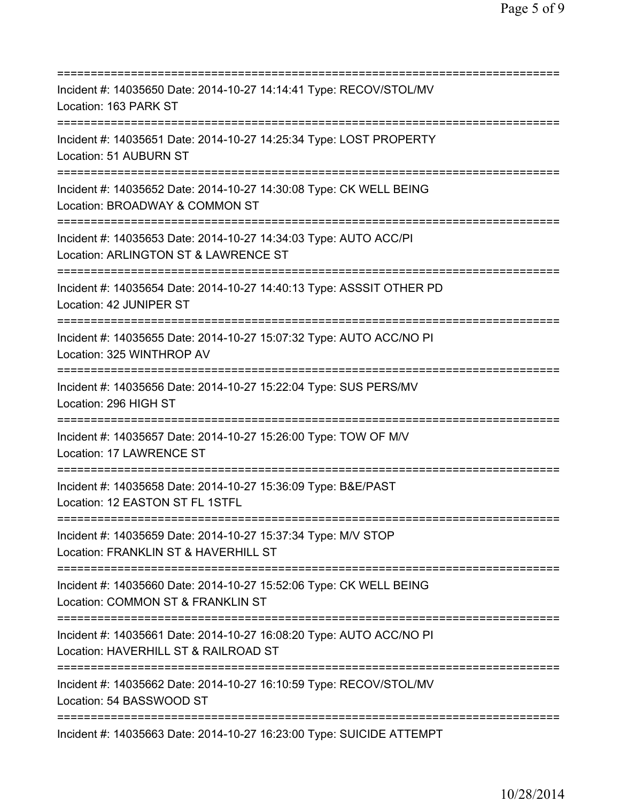=========================================================================== Incident #: 14035650 Date: 2014-10-27 14:14:41 Type: RECOV/STOL/MV Location: 163 PARK ST =========================================================================== Incident #: 14035651 Date: 2014-10-27 14:25:34 Type: LOST PROPERTY Location: 51 AUBURN ST =========================================================================== Incident #: 14035652 Date: 2014-10-27 14:30:08 Type: CK WELL BEING Location: BROADWAY & COMMON ST =========================================================================== Incident #: 14035653 Date: 2014-10-27 14:34:03 Type: AUTO ACC/PI Location: ARLINGTON ST & LAWRENCE ST =========================================================================== Incident #: 14035654 Date: 2014-10-27 14:40:13 Type: ASSSIT OTHER PD Location: 42 JUNIPER ST =========================================================================== Incident #: 14035655 Date: 2014-10-27 15:07:32 Type: AUTO ACC/NO PI Location: 325 WINTHROP AV =========================================================================== Incident #: 14035656 Date: 2014-10-27 15:22:04 Type: SUS PERS/MV Location: 296 HIGH ST =========================================================================== Incident #: 14035657 Date: 2014-10-27 15:26:00 Type: TOW OF M/V Location: 17 LAWRENCE ST =========================================================================== Incident #: 14035658 Date: 2014-10-27 15:36:09 Type: B&E/PAST Location: 12 EASTON ST FL 1STFL =========================================================================== Incident #: 14035659 Date: 2014-10-27 15:37:34 Type: M/V STOP Location: FRANKLIN ST & HAVERHILL ST =========================================================================== Incident #: 14035660 Date: 2014-10-27 15:52:06 Type: CK WELL BEING Location: COMMON ST & FRANKLIN ST =========================================================================== Incident #: 14035661 Date: 2014-10-27 16:08:20 Type: AUTO ACC/NO PI Location: HAVERHILL ST & RAILROAD ST =========================================================================== Incident #: 14035662 Date: 2014-10-27 16:10:59 Type: RECOV/STOL/MV Location: 54 BASSWOOD ST =========================================================================== Incident #: 14035663 Date: 2014-10-27 16:23:00 Type: SUICIDE ATTEMPT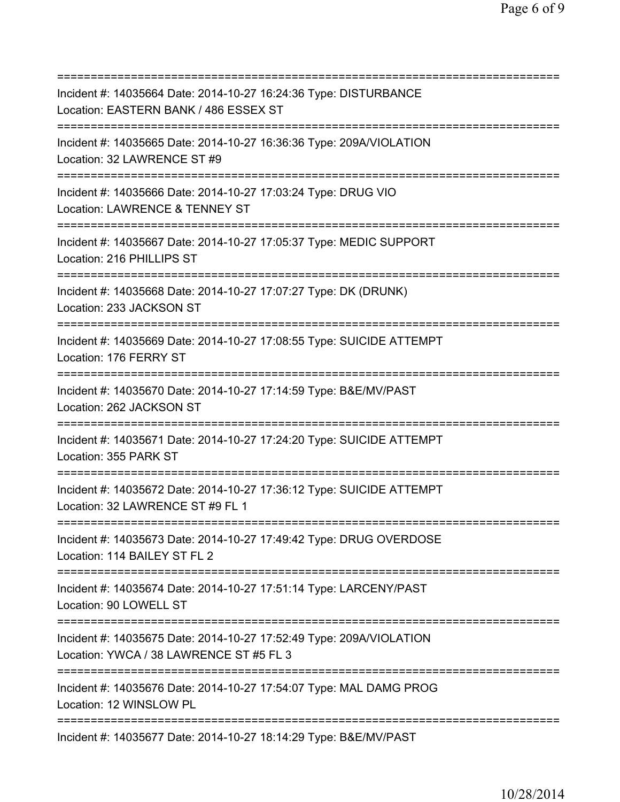=========================================================================== Incident #: 14035664 Date: 2014-10-27 16:24:36 Type: DISTURBANCE Location: EASTERN BANK / 486 ESSEX ST =========================================================================== Incident #: 14035665 Date: 2014-10-27 16:36:36 Type: 209A/VIOLATION Location: 32 LAWRENCE ST #9 =========================================================================== Incident #: 14035666 Date: 2014-10-27 17:03:24 Type: DRUG VIO Location: LAWRENCE & TENNEY ST =========================================================================== Incident #: 14035667 Date: 2014-10-27 17:05:37 Type: MEDIC SUPPORT Location: 216 PHILLIPS ST =========================================================================== Incident #: 14035668 Date: 2014-10-27 17:07:27 Type: DK (DRUNK) Location: 233 JACKSON ST =========================================================================== Incident #: 14035669 Date: 2014-10-27 17:08:55 Type: SUICIDE ATTEMPT Location: 176 FERRY ST =========================================================================== Incident #: 14035670 Date: 2014-10-27 17:14:59 Type: B&E/MV/PAST Location: 262 JACKSON ST =========================================================================== Incident #: 14035671 Date: 2014-10-27 17:24:20 Type: SUICIDE ATTEMPT Location: 355 PARK ST =========================================================================== Incident #: 14035672 Date: 2014-10-27 17:36:12 Type: SUICIDE ATTEMPT Location: 32 LAWRENCE ST #9 FL 1 =========================================================================== Incident #: 14035673 Date: 2014-10-27 17:49:42 Type: DRUG OVERDOSE Location: 114 BAILEY ST FL 2 =========================================================================== Incident #: 14035674 Date: 2014-10-27 17:51:14 Type: LARCENY/PAST Location: 90 LOWELL ST =========================================================================== Incident #: 14035675 Date: 2014-10-27 17:52:49 Type: 209A/VIOLATION Location: YWCA / 38 LAWRENCE ST #5 FL 3 =========================================================================== Incident #: 14035676 Date: 2014-10-27 17:54:07 Type: MAL DAMG PROG Location: 12 WINSLOW PL =========================================================================== Incident #: 14035677 Date: 2014-10-27 18:14:29 Type: B&E/MV/PAST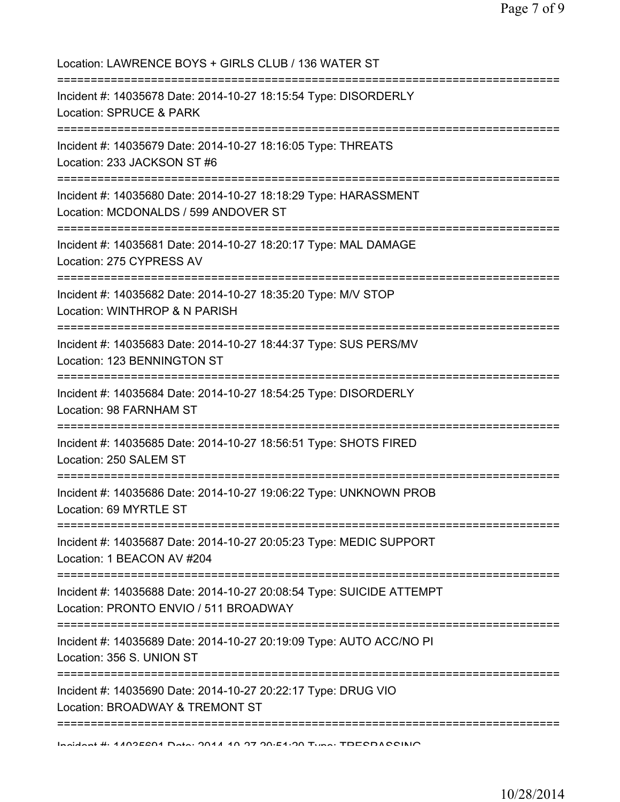| Location: LAWRENCE BOYS + GIRLS CLUB / 136 WATER ST                                                                                                                 |
|---------------------------------------------------------------------------------------------------------------------------------------------------------------------|
| Incident #: 14035678 Date: 2014-10-27 18:15:54 Type: DISORDERLY<br>Location: SPRUCE & PARK<br>;===================================<br>--------===================== |
| Incident #: 14035679 Date: 2014-10-27 18:16:05 Type: THREATS<br>Location: 233 JACKSON ST #6                                                                         |
| ____________________________________<br>Incident #: 14035680 Date: 2014-10-27 18:18:29 Type: HARASSMENT<br>Location: MCDONALDS / 599 ANDOVER ST                     |
| Incident #: 14035681 Date: 2014-10-27 18:20:17 Type: MAL DAMAGE<br>Location: 275 CYPRESS AV                                                                         |
| Incident #: 14035682 Date: 2014-10-27 18:35:20 Type: M/V STOP<br>Location: WINTHROP & N PARISH                                                                      |
| ===============================<br>Incident #: 14035683 Date: 2014-10-27 18:44:37 Type: SUS PERS/MV<br>Location: 123 BENNINGTON ST                                  |
| Incident #: 14035684 Date: 2014-10-27 18:54:25 Type: DISORDERLY<br>Location: 98 FARNHAM ST                                                                          |
| Incident #: 14035685 Date: 2014-10-27 18:56:51 Type: SHOTS FIRED<br>Location: 250 SALEM ST                                                                          |
| Incident #: 14035686 Date: 2014-10-27 19:06:22 Type: UNKNOWN PROB<br>Location: 69 MYRTLE ST                                                                         |
| Incident #: 14035687 Date: 2014-10-27 20:05:23 Type: MEDIC SUPPORT<br>Location: 1 BEACON AV #204                                                                    |
| Incident #: 14035688 Date: 2014-10-27 20:08:54 Type: SUICIDE ATTEMPT<br>Location: PRONTO ENVIO / 511 BROADWAY                                                       |
| Incident #: 14035689 Date: 2014-10-27 20:19:09 Type: AUTO ACC/NO PI<br>Location: 356 S. UNION ST                                                                    |
| Incident #: 14035690 Date: 2014-10-27 20:22:17 Type: DRUG VIO<br>Location: BROADWAY & TREMONT ST                                                                    |
| Indidnot #: 4409EC04 Data: 2044 40.27 20.54.200 Tuno: TDECDACCINIO                                                                                                  |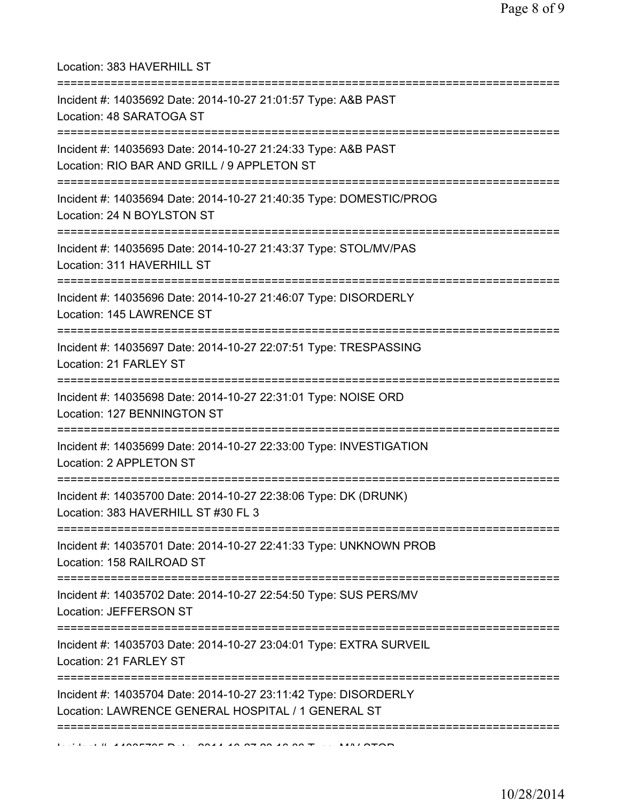Location: 383 HAVERHILL ST =========================================================================== Incident #: 14035692 Date: 2014-10-27 21:01:57 Type: A&B PAST Location: 48 SARATOGA ST =========================================================================== Incident #: 14035693 Date: 2014-10-27 21:24:33 Type: A&B PAST Location: RIO BAR AND GRILL / 9 APPLETON ST =========================================================================== Incident #: 14035694 Date: 2014-10-27 21:40:35 Type: DOMESTIC/PROG Location: 24 N BOYLSTON ST =========================================================================== Incident #: 14035695 Date: 2014-10-27 21:43:37 Type: STOL/MV/PAS Location: 311 HAVERHILL ST =========================================================================== Incident #: 14035696 Date: 2014-10-27 21:46:07 Type: DISORDERLY Location: 145 LAWRENCE ST =========================================================================== Incident #: 14035697 Date: 2014-10-27 22:07:51 Type: TRESPASSING Location: 21 FARLEY ST =========================================================================== Incident #: 14035698 Date: 2014-10-27 22:31:01 Type: NOISE ORD Location: 127 BENNINGTON ST =========================================================================== Incident #: 14035699 Date: 2014-10-27 22:33:00 Type: INVESTIGATION Location: 2 APPLETON ST =========================================================================== Incident #: 14035700 Date: 2014-10-27 22:38:06 Type: DK (DRUNK) Location: 383 HAVERHILL ST #30 FL 3 =========================================================================== Incident #: 14035701 Date: 2014-10-27 22:41:33 Type: UNKNOWN PROB Location: 158 RAILROAD ST =========================================================================== Incident #: 14035702 Date: 2014-10-27 22:54:50 Type: SUS PERS/MV Location: JEFFERSON ST =========================================================================== Incident #: 14035703 Date: 2014-10-27 23:04:01 Type: EXTRA SURVEIL Location: 21 FARLEY ST =========================================================================== Incident #: 14035704 Date: 2014-10-27 23:11:42 Type: DISORDERLY Location: LAWRENCE GENERAL HOSPITAL / 1 GENERAL ST ===========================================================================  $1$ ,  $1$ ,  $14035705$  Dele 2014 10 27 28:16:00 Type: MALCTOD